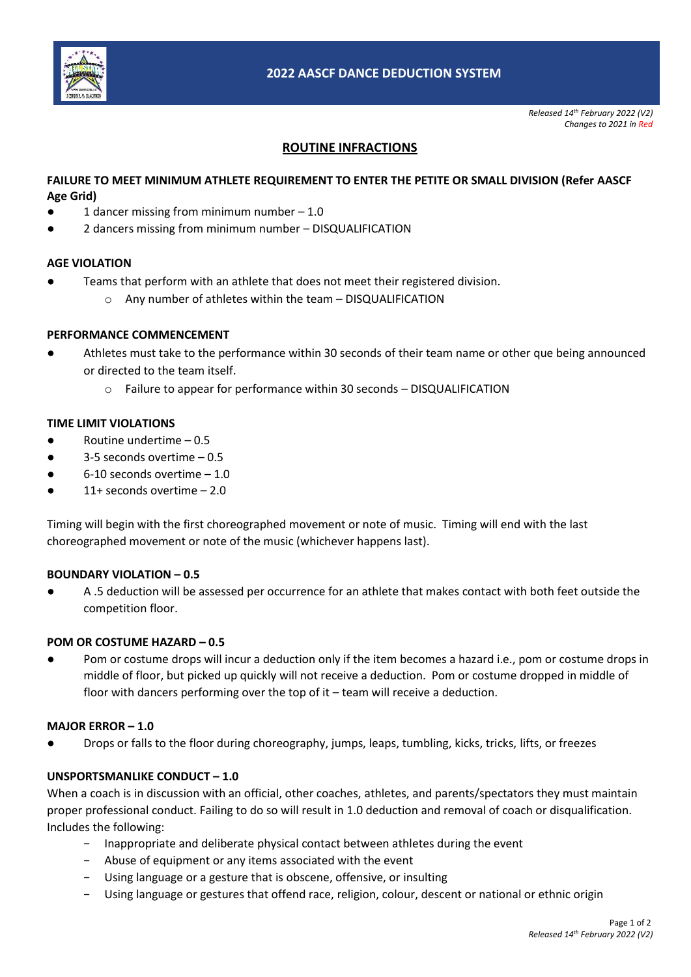

*Released 14th February 2022 (V2) Changes to 2021 in Red*

# **ROUTINE INFRACTIONS**

## **FAILURE TO MEET MINIMUM ATHLETE REQUIREMENT TO ENTER THE PETITE OR SMALL DIVISION (Refer AASCF Age Grid)**

- 1 dancer missing from minimum number  $-1.0$
- 2 dancers missing from minimum number DISQUALIFICATION

## **AGE VIOLATION**

- Teams that perform with an athlete that does not meet their registered division.
	- o Any number of athletes within the team DISQUALIFICATION

#### **PERFORMANCE COMMENCEMENT**

- **●** Athletes must take to the performance within 30 seconds of their team name or other que being announced or directed to the team itself.
	- $\circ$  Failure to appear for performance within 30 seconds DISQUALIFICATION

## **TIME LIMIT VIOLATIONS**

- $\bullet$  Routine undertime 0.5
- $3-5$  seconds overtime  $-0.5$
- $6-10$  seconds overtime  $-1.0$
- 11+ seconds overtime  $-2.0$

Timing will begin with the first choreographed movement or note of music. Timing will end with the last choreographed movement or note of the music (whichever happens last).

#### **BOUNDARY VIOLATION – 0.5**

A .5 deduction will be assessed per occurrence for an athlete that makes contact with both feet outside the competition floor.

## **POM OR COSTUME HAZARD – 0.5**

Pom or costume drops will incur a deduction only if the item becomes a hazard i.e., pom or costume drops in middle of floor, but picked up quickly will not receive a deduction. Pom or costume dropped in middle of floor with dancers performing over the top of it – team will receive a deduction.

#### **MAJOR ERROR – 1.0**

Drops or falls to the floor during choreography, jumps, leaps, tumbling, kicks, tricks, lifts, or freezes

#### **UNSPORTSMANLIKE CONDUCT – 1.0**

When a coach is in discussion with an official, other coaches, athletes, and parents/spectators they must maintain proper professional conduct. Failing to do so will result in 1.0 deduction and removal of coach or disqualification. Includes the following:

- − Inappropriate and deliberate physical contact between athletes during the event
- − Abuse of equipment or any items associated with the event
- − Using language or a gesture that is obscene, offensive, or insulting
- − Using language or gestures that offend race, religion, colour, descent or national or ethnic origin